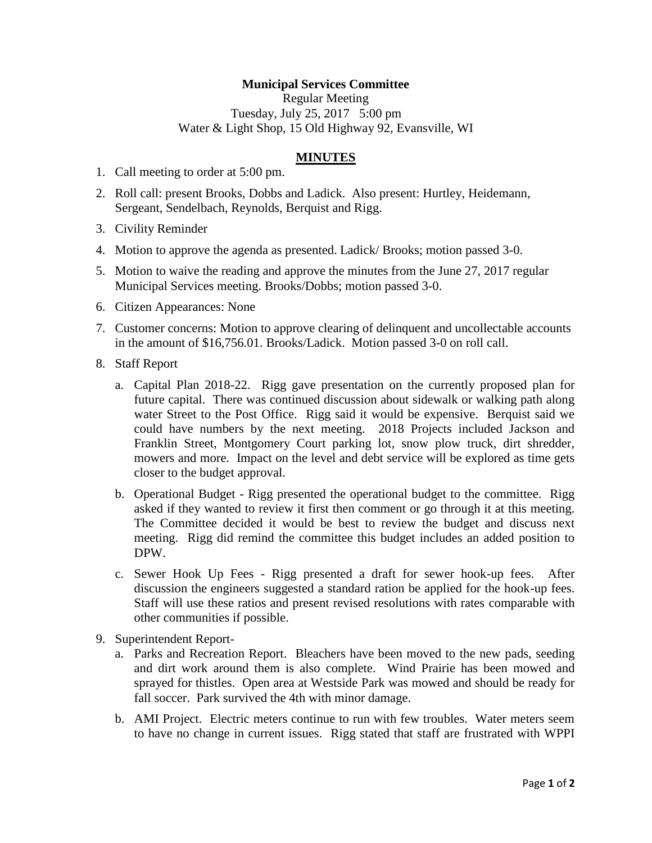## **Municipal Services Committee**

Regular Meeting Tuesday, July 25, 2017 5:00 pm Water & Light Shop, 15 Old Highway 92, Evansville, WI

## **MINUTES**

- 1. Call meeting to order at 5:00 pm.
- 2. Roll call: present Brooks, Dobbs and Ladick. Also present: Hurtley, Heidemann, Sergeant, Sendelbach, Reynolds, Berquist and Rigg.
- 3. Civility Reminder
- 4. Motion to approve the agenda as presented. Ladick/ Brooks; motion passed 3-0.
- 5. Motion to waive the reading and approve the minutes from the June 27, 2017 regular Municipal Services meeting. Brooks/Dobbs; motion passed 3-0.
- 6. Citizen Appearances: None
- 7. Customer concerns: Motion to approve clearing of delinquent and uncollectable accounts in the amount of \$16,756.01. Brooks/Ladick. Motion passed 3-0 on roll call.
- 8. Staff Report
	- a. Capital Plan 2018-22. Rigg gave presentation on the currently proposed plan for future capital. There was continued discussion about sidewalk or walking path along water Street to the Post Office. Rigg said it would be expensive. Berquist said we could have numbers by the next meeting. 2018 Projects included Jackson and Franklin Street, Montgomery Court parking lot, snow plow truck, dirt shredder, mowers and more. Impact on the level and debt service will be explored as time gets closer to the budget approval.
	- b. Operational Budget Rigg presented the operational budget to the committee. Rigg asked if they wanted to review it first then comment or go through it at this meeting. The Committee decided it would be best to review the budget and discuss next meeting. Rigg did remind the committee this budget includes an added position to DPW.
	- c. Sewer Hook Up Fees Rigg presented a draft for sewer hook-up fees. After discussion the engineers suggested a standard ration be applied for the hook-up fees. Staff will use these ratios and present revised resolutions with rates comparable with other communities if possible.
- 9. Superintendent Report
	- a. Parks and Recreation Report. Bleachers have been moved to the new pads, seeding and dirt work around them is also complete. Wind Prairie has been mowed and sprayed for thistles. Open area at Westside Park was mowed and should be ready for fall soccer. Park survived the 4th with minor damage.
	- b. AMI Project. Electric meters continue to run with few troubles. Water meters seem to have no change in current issues. Rigg stated that staff are frustrated with WPPI